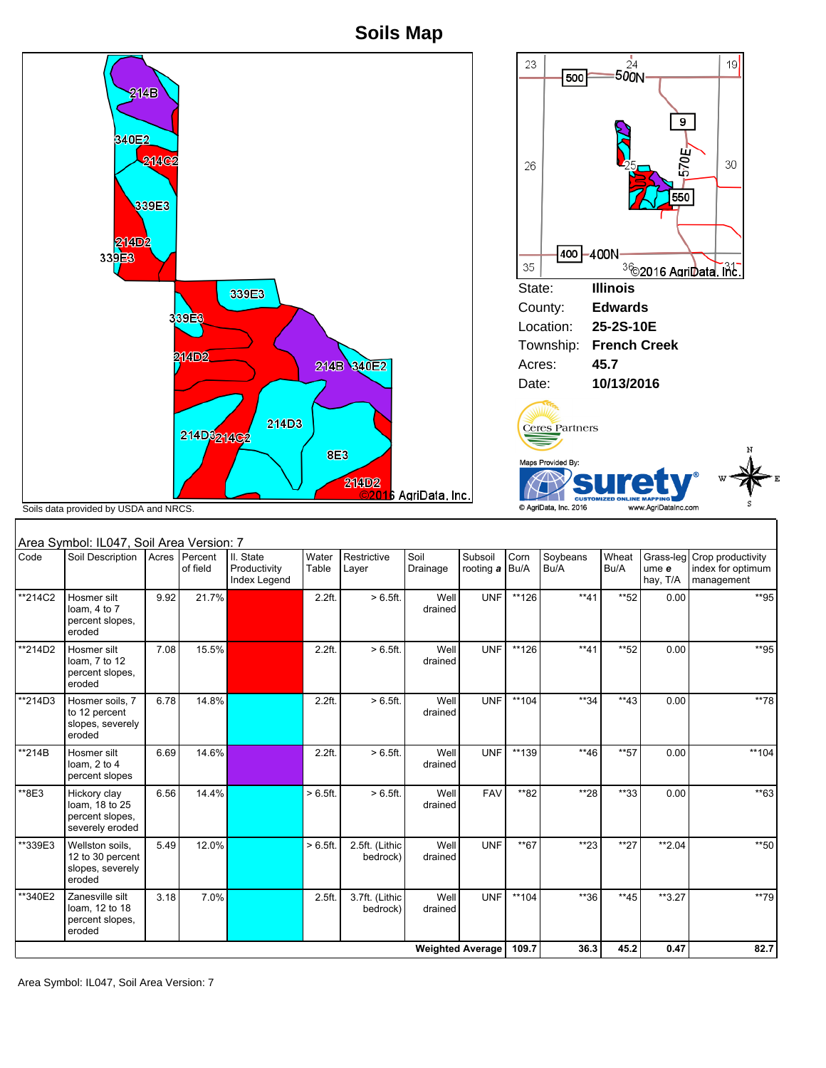**Soils Map**



|                         | Area Symbol: IL047, Soil Area Version: 7                             |       |                     |                                           |                   |                            |                  |                      |              |                  |               |                                |                                                      |
|-------------------------|----------------------------------------------------------------------|-------|---------------------|-------------------------------------------|-------------------|----------------------------|------------------|----------------------|--------------|------------------|---------------|--------------------------------|------------------------------------------------------|
| Code                    | Soil Description                                                     | Acres | Percent<br>of field | II. State<br>Productivity<br>Index Legend | Water<br>Table    | Restrictive<br>Layer       | Soil<br>Drainage | Subsoil<br>rooting a | Corn<br>Bu/A | Soybeans<br>Bu/A | Wheat<br>Bu/A | Grass-leg<br>ume e<br>hay, T/A | Crop productivity<br>index for optimum<br>management |
| **214C2                 | Hosmer silt<br>loam, 4 to 7<br>percent slopes,<br>eroded             | 9.92  | 21.7%               |                                           | 2.2 <sub>ft</sub> | $>6.5$ ft.                 | Well<br>drained  | <b>UNF</b>           | **126        | $**41$           | **52          | 0.00                           | **95                                                 |
| **214D2                 | Hosmer silt<br>loam, 7 to 12<br>percent slopes,<br>eroded            | 7.08  | 15.5%               |                                           | 2.2 <sub>ft</sub> | $> 6.5$ ft.                | Well<br>drained  | <b>UNF</b>           | $**126$      | $**41$           | **52          | 0.00                           | **95                                                 |
| **214D3                 | Hosmer soils, 7<br>to 12 percent<br>slopes, severely<br>eroded       | 6.78  | 14.8%               |                                           | 2.2 <sub>ft</sub> | $> 6.5$ ft.                | Well<br>drained  | <b>UNF</b>           | $**104$      | **34             | $**43$        | 0.00                           | **78                                                 |
| **214B                  | Hosmer silt<br>loam. $2$ to $4$<br>percent slopes                    | 6.69  | 14.6%               |                                           | 2.2ft.            | $>6.5$ ft.                 | Well<br>drained  | <b>UNF</b>           | **139        | $**46$           | **57          | 0.00                           | **104                                                |
| **8E3                   | Hickory clay<br>loam, 18 to 25<br>percent slopes.<br>severely eroded | 6.56  | 14.4%               |                                           | > 6.5 ft.         | $>6.5$ ft.                 | Well<br>drained  | <b>FAV</b>           | **82         | **28             | $*$ 33        | 0.00                           | $*$ 63                                               |
| **339E3                 | Wellston soils,<br>12 to 30 percent<br>slopes, severely<br>eroded    | 5.49  | 12.0%               |                                           | > 6.5 ft.         | 2.5ft. (Lithic<br>bedrock) | Well<br>drained  | <b>UNF</b>           | **67         | $*23$            | $**27$        | $*2.04$                        | $*$ 50                                               |
| **340E2                 | Zanesville silt<br>loam, 12 to 18<br>percent slopes,<br>eroded       | 3.18  | 7.0%                |                                           | 2.5 <sub>ft</sub> | 3.7ft. (Lithic<br>bedrock) | Well<br>drained  | <b>UNF</b>           | $**104$      | $*36$            | $**45$        | $*3.27$                        | **79                                                 |
| <b>Weighted Average</b> |                                                                      |       |                     |                                           |                   |                            |                  | 109.7                | 36.3         | 45.2             | 0.47          | 82.7                           |                                                      |